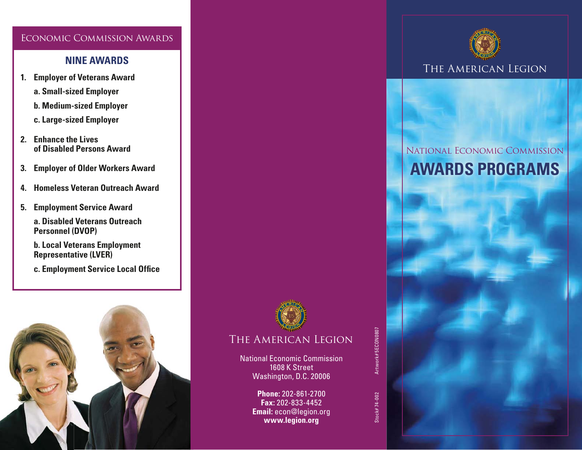#### Economic Commission Awards

### **NINE AWARDS**

- **1. Employer of Veterans Award a. Small-sized Employer**
	- **b. Medium-sized Employer**
	- **c. Large-sized Employer**
- **2. Enhance the Lives of Disabled Persons Award**
- **3. Employer of Older Workers Award**
- **4. Homeless Veteran Outreach Award**
- **5. Employment Service Award**
	- **a. Disabled Veterans Outreach Personnel (DVOP)**
	- **b. Local Veterans Employment Representative (LVER)**
	- **c. Employment Service Local Office**





## The American Legion

National Economic Commission 1608 K Street Washington, D.C. 20006

> **Phone:** 202-861-2700 **Fax:** 202-833-4452 **Email:** econ@legion.org **www.legion.org**



# National Economic Commission **AWARDS PROGRAMS**



Stock# 74-002 Artwork# 5ECON0807 Stock# 74-002

Artwork#5ECON0807